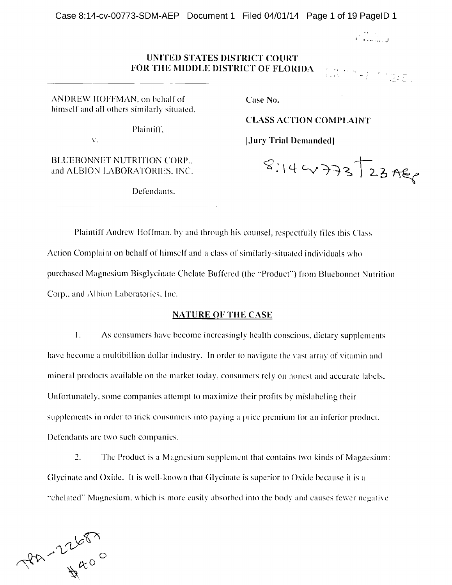1 4 j<br>j<br>j

Canada e portugues.<br>Canada e portugues

## UNITED STATES DISTRICT COURT FOR THE MIDDLE DISTRICT OF FLORIDA

ANDREW HOFFMAN, on behalf of  $\Box$  Case No. himself and all others similarly situated,

Plaintiff,

BLUEBONNET NUTRITION CORP.. and ALBION LABORATORIES, INC.

Defendants.

CLASS ACTION COMPLAINT

v. **publication of the public of the public state of the public state of the public state of the pure state of the pure state of the pure state of the pure state of the pure state of the pure state of the pure state of the** 

 $8.144337223760$ 

Plaintiff Andrew Hoffman, by and through his counsel, respectfully files this Class Action Complaint on behalf of himself and a class of similarly-situated individuals who purchased Magnesium Bisglycinate Chelate Buffered (the "Product") from Bluebonnet Nutrition Corp., and Albion Laboratories. Inc.

### NATURE OF THE CASE

 $1.$ As consumers have become increasingly health conscious, dietary supplements have become <sup>a</sup> multibillion dollar industry. In order to navigate the vast array of vitamin and mineral products available on the market today, consumers rely on honest and accurate labels. Unfortunately, some companies attempt to maximize their profits by mislabeling their supplements in order to trick consumers into paying <sup>a</sup> price premium for an inferior product. Defendants are two such companies.

2. The Product is <sup>a</sup> Magnesium supplement that contains two kinds of Magnesium: Glycinate and Oxide. It is well-known that Glycinate is superior to Oxide because it is <sup>a</sup> "chelated" Magnesium, which is more easily absorbed into the body and causes fewer negative

PA - 22687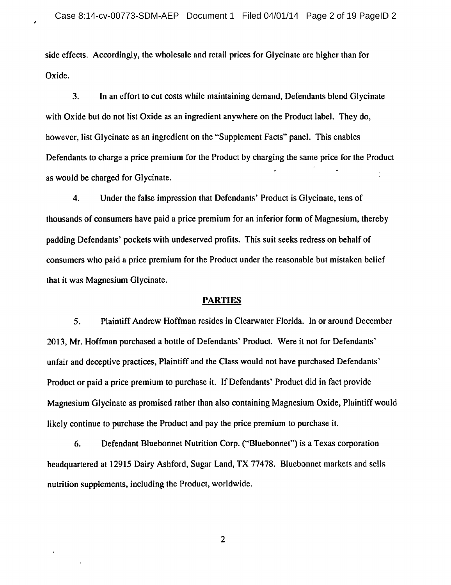side effects. Accordingly, the wholesale and retail prices for Glycinate are higher than for Oxide.

3. In an effort to cut costs while maintaining demand, Defendants blend Glycinate with Oxide but do not list Oxide as an ingredient anywhere on the Product label. They do, however, list Glycinate as an ingredient on the "Supplement Facts" panel. This enables Defendants to charge <sup>a</sup> price premium for the Product by charging the same price for the Product as would be charged for Glycinate.

4. Under the false impression that Defendants' Product is Glycinate, tens of thousands of consumers have paid <sup>a</sup> price premium for an inferior form of Magnesium, thereby padding Defendants' pockets with undeserved profits. This suit seeks redress on behalf of consumers who paid <sup>a</sup> price premium for the Product under the reasonable but mistaken belief that it was Magnesium Glycinate.

### **PARTIES**

5. Plaintiff Andrew Hoffman resides in Clearwater Florida. In or around December 2013, Mr. Hoffman purchased <sup>a</sup> bottle of Defendants' Product. Were it not for Defendants' unfair and deceptive practices, Plaintiff and the Class would not have purchased Defendants' Product or paid <sup>a</sup> price premium to purchase it. If Defendants' Product did in fact provide Magnesium Glycinate as promised rather than also containing Magnesium Oxide, Plaintiff would likely continue to purchase the Product and pay the price premium to purchase it.

6. Defendant Bluebonnet Nutrition Corp. ("Bluebonnet") is <sup>a</sup> Texas corporation headquartered at <sup>12915</sup> Dairy Ashford, Sugar Land, TX 77478. Bluebonnet markets and sells nutrition supplements, including the Product, worldwide.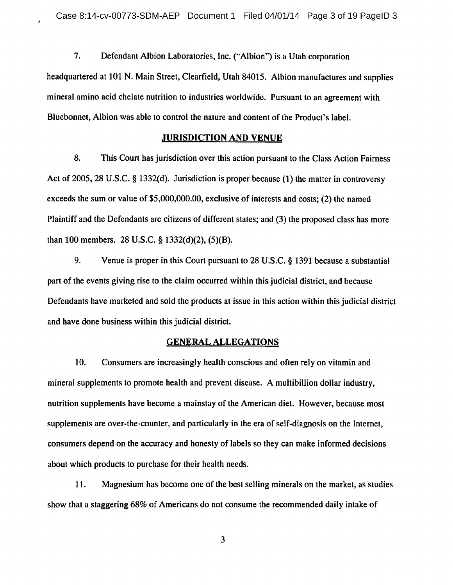7. Defendant Albion Laboratories, Inc. ("Albion") is <sup>a</sup> Utah corporation headquartered at <sup>101</sup> N. Main Street, Clearfield, Utah 84015. Albion manufactures and supplies mineral amino acid chelate nutrition to industries worldwide. Pursuant to an agreement with Bluebonnet, Albion was able to control the nature and content of the Product's label.

### JURISDICTION AND VENUE

8. This Court has jurisdiction over this action pursuant to the Class Action Fairness Act of 2005, 28 U.S.C. § 1332(d). Jurisdiction is proper because (1) the matter in controversy exceeds the sum or value of \$5,000,000.00, exclusive of interests and costs; (2) the named Plaintiff and the Defendants are citizens of different states; and (3) the proposed class has more than 100 members. 28 U.S.C.  $\S$  1332(d)(2), (5)(B).

9. Venue is proper in this Court pursuant to 28 U.S.C. § 1391 because a substantial part of the events giving rise to the claim occurred within this judicial district, and because Defendants have marketed and sold the products at issue in this action within this judicial district and have done business within this judicial district.

### GENERAL ALLEGATIONS

10. Consumers are increasingly health conscious and often rely on vitamin and mineral supplements to promote health and prevent disease. A multibillion dollar industry, nutrition supplements have become <sup>a</sup> mainstay of the American diet. However, because most supplements are over-the-counter, and particularly in the era of self-diagnosis on the Internet, consumers depend on the accuracy and honesty of labels so they can make informed decisions about which products to purchase for their health needs.

11. Magnesium has become one of the best selling minerals on the market, as studies show that <sup>a</sup> staggering 68% of Americans do not consume the recommended daily intake of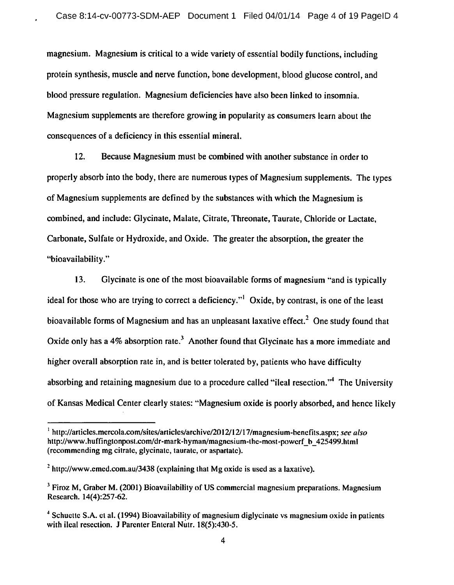magnesium. Magnesium is critical to <sup>a</sup> wide variety of essential bodily functions, including protein synthesis, muscle and nerve function, bone development, blood glucose control, and blood pressure regulation. Magnesium deficiencies have also been linked to insomnia. Magnesium supplements are therefore growing in popularity as consumers learn about the consequences of <sup>a</sup> deficiency in this essential mineral.

12. Because Magnesium must be combined with another substance in order to properly absorb into the body, there are numerous types of Magnesium supplements. The types of Magnesium supplements are defined by the substances with which the Magnesium is combined, and include: Glycinate, Malate, Citrate, Threonate, Taurate, Chloride or Lactate, Carbonate, Sulfate or Hydroxide, and Oxide. The greater the absorption, the greater the "bioavailability."

13. Glycinate is one of the most bioavailable forms of magnesium "and is typically ideal for those who are trying to correct a deficiency."<sup>1</sup> Oxide, by contrast, is one of the least bioavailable forms of Magnesium and has an unpleasant laxative effect.<sup>2</sup> One study found that Oxide only has a 4% absorption rate.<sup>3</sup> Another found that Glycinate has a more immediate and higher overall absorption rate in, and is better tolerated by, patients who have difficulty absorbing and retaining magnesium due to a procedure called "ileal resection."<sup>4</sup> The University of Kansas Medical Center clearly states: "Magnesium oxide is poorly absorbed, and hence likely

<sup>&</sup>lt;sup>1</sup> http://articles.mercola.com/sites/articles/archive/2012/12/17/magnesium-benefits.aspx; see also http://www.huffingtonpost.com/dr-mark-hyman/magnesium-the-most-powerf b\_425499.html (recommending mg citrate, glycinate, taurate, or aspartate).

<sup>&</sup>lt;sup>2</sup> http://www.emed.com.au/3438 (explaining that Mg oxide is used as a laxative).

 $3$  Firoz M, Graber M. (2001) Bioavailability of US commercial magnesium preparations. Magnesium Research. 14(4):257-62.

<sup>&</sup>lt;sup>4</sup> Schuette S.A. et al. (1994) Bioavailability of magnesium diglycinate vs magnesium oxide in patients with ilcal resection. <sup>J</sup> Parenter Enteral Nutr. 18(5):430-5.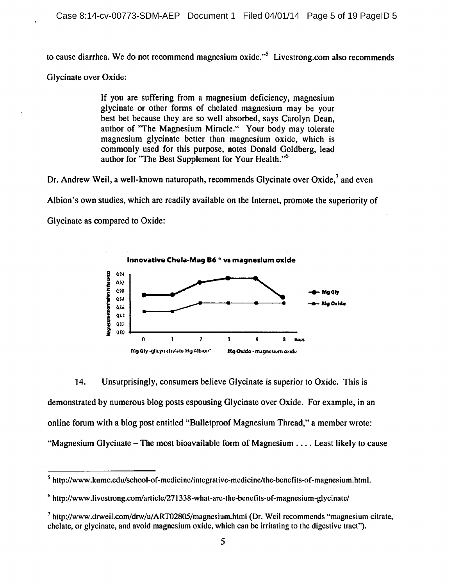to cause diarrhea. We do not recommend magnesium oxide."<sup>5</sup> Livestrong.com also recommends

**Glycinate over Oxide:** 

If you are suffering from a magnesium deficiency, magnesium glycinate or other forms of chelated magnesium may be your best bet because they are so well absorbed, says Carolyn Dean. author of "The Magnesium Miracle." Your body may tolerate magnesium glycinate better than magnesium oxide, which is commonly used for this purpose, notes Donald Goldberg, lead author for "The Best Supplement for Your Health."<sup>6</sup>

Dr. Andrew Weil, a well-known naturopath, recommends Glycinate over Oxide,<sup>7</sup> and even

Albion's own studies, which are readily available on the Internet, promote the superiority of

Glycinate as compared to Oxide:



14. Unsurprisingly, consumers believe Glycinate is superior to Oxide. This is demonstrated by numerous blog posts espousing Glycinate over Oxide. For example, in an online forum with a blog post entitled "Bulletproof Magnesium Thread," a member wrote: "Magnesium Glycinate – The most bioavailable form of Magnesium  $\dots$  Least likely to cause

 $<sup>5</sup>$  http://www.kumc.edu/school-of-medicine/integrative-medicine/the-benefits-of-magnesium.html.</sup>

 $6$  http://www.livestrong.com/article/271338-what-are-the-benefits-of-magnesium-glycinate/

 $^7$  http://www.drweil.com/drw/u/ART02805/magnesium.html (Dr. Weil recommends "magnesium citrate, chelate, or glycinate, and avoid magnesium oxide, which can be irritating to the digestive tract").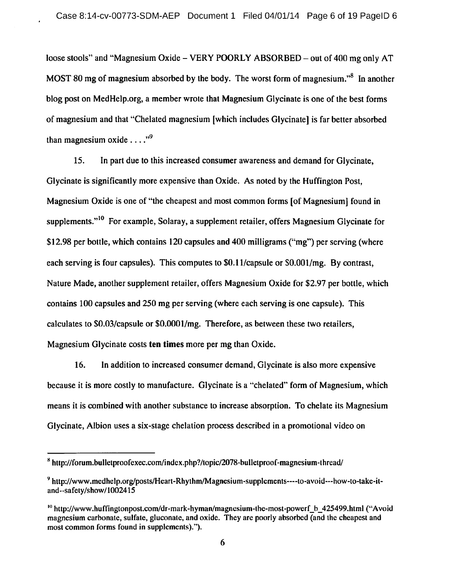loose stools" and "Magnesium Oxide – VERY POORLY ABSORBED – out of 400 mg only AT MOST 80 mg of magnesium absorbed by the body. The worst form of magnesium.<sup>8</sup> In another blog post on MedHelp.org, <sup>a</sup> member wrote that Magnesium Glycinate is one of the best forms of magnesium and that "Chelated magnesium [which includes Glycinate] is far better absorbed than magnesium oxide  $\ldots$ ."<sup>9</sup>

15. In part due to this increased consumer awareness and demand for Glycinate, Glycinate is significantly more expensive than Oxide. As noted by the Huffington Post, Magnesium Oxide is one of "the cheapest and most common forms [of Magnesium] found in supplements."<sup>10</sup> For example, Solaray, a supplement retailer, offers Magnesium Glycinate for \$12.98 per bottle, which contains 120 capsules and 400 milligrams ("mg") per serving (where each serving is four capsules). This computes to \$0.11/capsule or \$0.001/mg. By contrast, Nature Made, another supplement retailer, offers Magnesium Oxide for \$2.97 per bottle, which contains 100 capsules and 250 mg per serving (where each serving is one capsule). This calculates to \$0.03/capsule or \$0.0001/mg. Therefore, as between these two retailers, Magnesium Glycinate costs ten times more per mg than Oxide.

16. In addition to increased consumer demand, Glycinate is also more expensive because it is more costly to manufacture. Glycinate is <sup>a</sup> "chelated" form of Magnesium, which means it is combined with another substance to increase absorption. To chelate its Magnesium Glycinate, Albion uses <sup>a</sup> six-stage chelation process described in <sup>a</sup> promotional video on

<sup>&</sup>lt;sup>8</sup> http://forum.bulletproofexec.com/index.php?/topic/2078-bulletproof-magnesium-thread/

<sup>9</sup> http://www.medhelp.org/posts/Heart-Rhythm/Magnesium-supplcments----to-avoid---how-to-take-itand--safety/show/1002415

 $h_{\text{10}}$  http://www.huffingtonpost.com/dr-mark-hyman/magnesium-the-most-powerf b 425499.html ("Avoid magnesium carbonate, sulfate, gluconate, and oxide. They are poorly absorbed (and the cheapest and most common forms found in supplcmcnts).").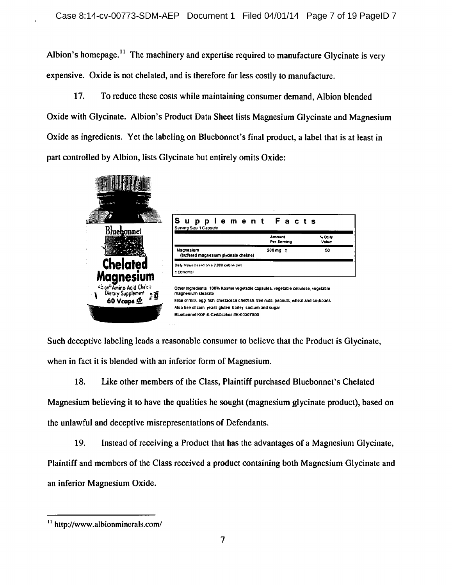Albion's homepage.<sup>11</sup> The machinery and expertise required to manufacture Glycinate is very expensive. Oxide is not chelated, and is therefore far less costly to manufacture.

17. To reduce these costs while maintaining consumer demand, Albion blended Oxide with Glycinate. Albion's Product Data Sheet lists Magnesium Glycinate and Magnesium Oxide as ingredients. Yet the labeling on Bluebonnet's final product, a label that is at least in part controlled by Albion, lists Glycinate but entirely omits Oxide:



Such deceptive labeling leads a reasonable consumer to believe that the Product is Glycinate, when in fact it is blended with an inferior form of Magnesium.

18. Like other members of the Class, Plaintiff purchased Bluebonnet's Chelated Magnesium believing it to have the qualities he sought (magnesium glycinate product), based on the unlawful and deceptive misrepresentations of Defendants.

19. Instead of receiving a Product that has the advantages of a Magnesium Glycinate, Plaintiff and members of the Class received a product containing both Magnesium Glycinate and an inferior Magnesium Oxide.

<sup>&</sup>lt;sup>11</sup> http://www.albionminerals.com/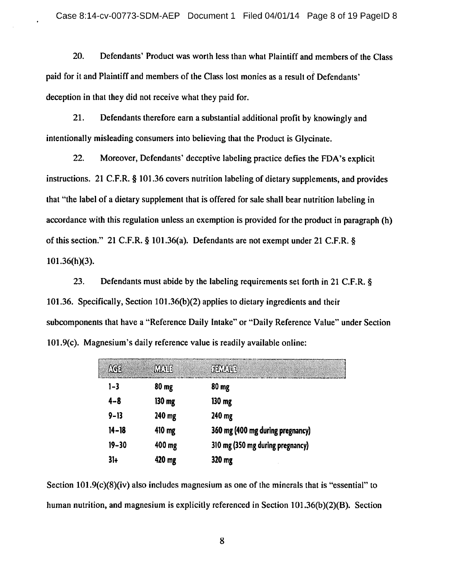20. Defendants' Product was worth less than what Plaintiff and members of the Class paid for it and Plaintiff and members of the Class lost monies as <sup>a</sup> result of Defendants' deception in that they did not receive what they paid for.

21. Defendants therefore earn <sup>a</sup> substantial additional profit by knowingly and intentionally misleading consumers into believing that the Product is Glycinate.

22. Moreover, Defendants' deceptive labeling practice defies the FDA's explicit instructions. 21 C.F.R.  $\S$  101.36 covers nutrition labeling of dietary supplements, and provides that "the label of <sup>a</sup> dietary supplement that is offered for sale shall bear nutrition labeling in accordance with this regulation unless an exemption is provided for the product in paragraph (h) of this section." 21 C.F.R.  $\S$  101.36(a). Defendants are not exempt under 21 C.F.R.  $\S$ 101.36(h)(3).

23. Defendants must abide by the labeling requirements set forth in 21 C.F.R. § 101.36. Specifically, Section 101.36(b)(2) applies to dietary ingredients and their subcomponents that have <sup>a</sup> "Reference Daily Intake" or "Daily Reference Value" under Section 101.9(c). Magnesium's daily reference value is readily available online:

| AGE       | <b>MATE</b> | <b>FEWALE</b>                    |
|-----------|-------------|----------------------------------|
| $1 - 3$   | 80 mg       | 80 mg                            |
| $4 - 8$   | $130 \, mg$ | $130 \, mg$                      |
| $9 - 13$  | 240 mg      | 240 mg                           |
| $14 - 18$ | 410 mg      | 360 mg (400 mg during pregnancy) |
| $19 - 30$ | 400 mg      | 310 mg (350 mg during pregnancy) |
| $31+$     | 420 mg      | 320 mg                           |

Section 101.9(c)(8)(iv) also includes magnesium as one of the minerals that is "essential" to human nutrition, and magnesium is explicitly referenced in Section 101.36(b)(2)(B). Section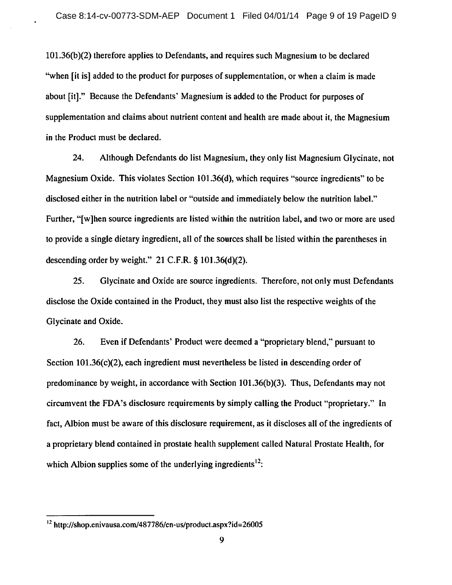101.36(b)(2) therefore applies to Defendants, and requires such Magnesium to be declared "when [it is] added to the product for purposes of supplementation, or when <sup>a</sup> claim is made about [it]." Because the Defendants' Magnesium is added to the Product for purposes of supplementation and claims about nutrient content and health are made about it, the Magnesium in the Product must be declared.

24. Although Defendants do list Magnesium, they only list Magnesium Glycinate, not Magnesium Oxide. This violates Section 101.36(d), which requires "source ingredients" to be disclosed either in the nutrition label or "outside and immediately below the nutrition label." Further, "[w]hen source ingredients are listed within the nutrition label, and two or more are used to provide <sup>a</sup> single dietary ingredient, all of the sources shall be listed within the parentheses in descending order by weight."  $21$  C.F.R. § 101.36(d)(2).

25. Glycinate and Oxide are source ingredients. Therefore, not only must Defendants disclose the Oxide contained in the Product, they must also list the respective weights of the Glycinate and Oxide.

26. Even if Defendants' Product were deemed a "proprietary blend," pursuant to Section 101.36(c)(2), each ingredient must nevertheless be listed in descending order of predominance by weight, in accordance with Section 101.36(b)(3). Thus, Defendants may not circumvent the FDA's disclosure requirements by simply calling the Product "proprietary." In fact, Albion must be aware of this disclosure requirement, as it discloses all of the ingredients of <sup>a</sup> proprietary blend contained in prostate health supplement called Natural Prostate Health, for which Albion supplies some of the underlying ingredients<sup>12</sup>:

<sup>12</sup> http://shop.enivausa.com/487786/en-us/product.aspx?id=26005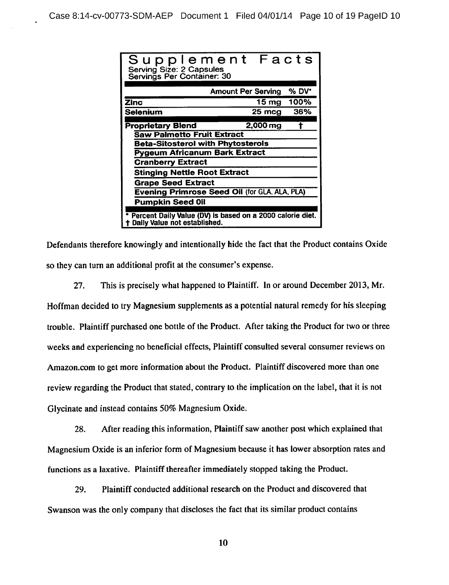| Supplement Facts<br>Serving Size: 2 Capsules<br>Servings Per Container: 30                |                                    |  |  |  |  |  |
|-------------------------------------------------------------------------------------------|------------------------------------|--|--|--|--|--|
|                                                                                           | % DV*<br><b>Amount Per Serving</b> |  |  |  |  |  |
|                                                                                           |                                    |  |  |  |  |  |
| Zinc                                                                                      | 100%<br>15 mg                      |  |  |  |  |  |
| Selenium                                                                                  | 36%<br>25 mcg                      |  |  |  |  |  |
|                                                                                           |                                    |  |  |  |  |  |
| <b>Proprietary Blend</b>                                                                  | 2,000 mg                           |  |  |  |  |  |
| <b>Saw Palmetto Fruit Extract</b>                                                         |                                    |  |  |  |  |  |
| <b>Beta-Sitosterol with Phytosterols</b>                                                  |                                    |  |  |  |  |  |
| Pygeum Africanum Bark Extract                                                             |                                    |  |  |  |  |  |
| <b>Cranberry Extract</b>                                                                  |                                    |  |  |  |  |  |
| <b>Stinging Nettle Root Extract</b>                                                       |                                    |  |  |  |  |  |
| <b>Grape Seed Extract</b>                                                                 |                                    |  |  |  |  |  |
| Evening Primrose Seed Oil (for GLA, ALA, PLA)                                             |                                    |  |  |  |  |  |
| <b>Pumpkin Seed Oil</b>                                                                   |                                    |  |  |  |  |  |
| Percent Daily Value (DV) is based on a 2000 calorie diet.<br>Daily Value not established. |                                    |  |  |  |  |  |

Defendants therefore knowingly and intentionally hide the fact that the Product contains Oxide so they can turn an additional profit at the consumer's expense.

27. This is precisely what happened to Plaintiff. In or around December 2013, Mr. Hoffman decided to try Magnesium supplements as <sup>a</sup> potential natural remedy for his sleeping trouble. Plaintiff purchased one bottle of the Product. After taking the Product for two or three weeks and experiencing no beneficial effects, Plaintiff consulted several consumer reviews on Amazon.com to get more information about the Product. Plaintiff discovered more than one review regarding the Product that stated, contrary to the implication on the label, that it is not Glycinate and instead contains 50% Magnesium Oxide.

28. After reading this information, Plaintiff saw another post which explained that Magnesium Oxide is an inferior form of Magnesium because it has lower absorption rates and functions as <sup>a</sup> laxative. Plaintiff thereafter immediately stopped taking the Product.

29. Plaintiff conducted additional research on the Product and discovered that Swanson was the only company that discloses the fact that its similar product contains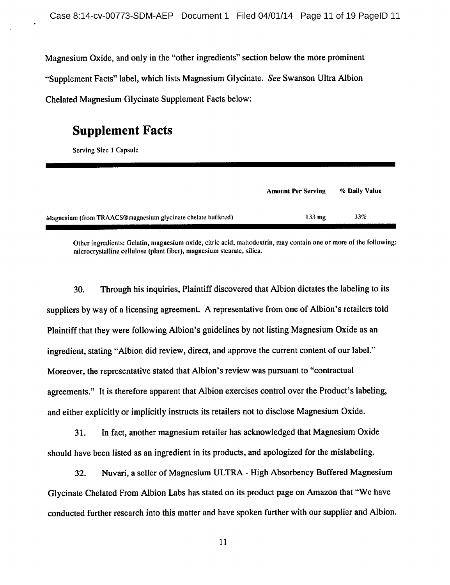Magnesium Oxide, and only in the "other ingredients" section below the more prominent "Supplement Facts" label, which lists Magnesium Glycinate. See Swanson Ultra Albion Chelated Magnesium Glycinate Supplement Facts below:

# Supplement Facts

Serving Size <sup>1</sup> Capsule

|                                                              | <b>Amount Per Serving</b> | % Daily Value |  |
|--------------------------------------------------------------|---------------------------|---------------|--|
| Magnesium (from TRAACS@magnesium glycinate chelate buffered) | $133 \text{ m}$ g         | 33%           |  |

Other ingredients: Gelatin, magnesium oxide, citric acid, maltodextrin, may contain one or more of the following: microcrystalline cellulose (plant fiber), magnesium stearate, silica.

30. Through his inquiries, Plaintiff discovered that Albion dictates the labeling to its suppliers by way of <sup>a</sup> licensing agreement. A representative from one of Albion's retailers told Plaintiff that they were following Albion's guidelines by not listing Magnesium Oxide as an ingredient, stating "Albion did review, direct, and approve the current content of our label." Moreover, the representative stated that Albion's review was pursuant to "contractual agreements." It is therefore apparent that Albion exercises control over the Product's labeling, and either explicitly or implicitly instructs its retailers not to disclose Magnesium Oxide.

31. In fact, another magnesium retailer has acknowledged that Magnesium Oxide should have been listed as an ingredient in its products, and apologized for the mislabeling.

32. Nuvari, a seller of Magnesium ULTRA - High Absorbency Buffered Magnesium Glycinate Chelated From Albion Labs has stated on its product page on Amazon that "We have conducted further research into this matter and have spoken further with our supplier and Albion.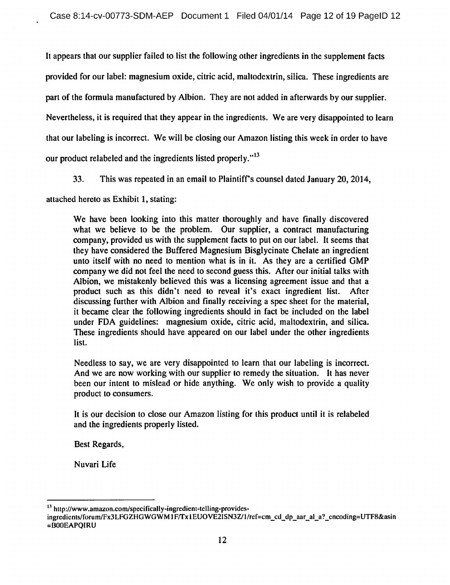It appears that our supplier failed to list the following other ingredients in the supplement facts provided for our label: magnesium oxide, citric acid, maltodextrin, silica. These ingredients are part of the formula manufactured by Albion. They are not added in afterwards by our supplier. Nevertheless, it is required that they appear in the ingredients. We are very disappointed to learn that our labeling is incorrect. We will be closing our Amazon listing this week in order to have our product relabeled and the ingredients listed properly."<sup>13</sup>

33. This was repeated in an email to Plaintiff's counsel dated January 20, 2014,

attached hereto as Exhibit 1, stating:

We have been looking into this matter thoroughly and have finally discovered what we believe to be the problem. Our supplier, a contract manufacturing company, provided us with the supplement facts to put on our label. It seems that they have considered the Buffered Magnesium Bisglycinate Chelate an ingredient unto itself with no need to mention what is in it. As they are <sup>a</sup> certified GMP company we did not feel the need to second guess this. After our initial talks with Albion, we mistakenly believed this was <sup>a</sup> licensing agreement issue and that <sup>a</sup> product such as this didn't need to reveal it's exact ingredient list. After discussing further with Albion and finally receiving <sup>a</sup> spec sheet for the material, it became clear the following ingredients should in fact be included on the label under FDA guidelines: magnesium oxide, citric acid, maltodextrin, and silica. These ingredients should have appeared on our label under the other ingredients list.

Needless to say, we are very disappointed to learn that our labeling is incorrect. And we are now working with our supplier to remedy the situation. It has never been our intent to mislead or hide anything. We only wish to provide <sup>a</sup> quality product to consumers.

It is our decision to close our Amazon listing for this product until it is relabeled and the ingredients properly listed.

Best Regards,

Nuvari Life

<sup>&</sup>lt;sup>13</sup> http://www.amazon.com/specifically-ingredient-telling-provides-

ingredients/forum/Fx3LFGZHGWGWM1F/Tx1EUOVE2ISN3Z/1/ref=cm\_cd\_dp\_aar\_al\_a?\_encoding=UTF8&asin =BOOEAPQIRU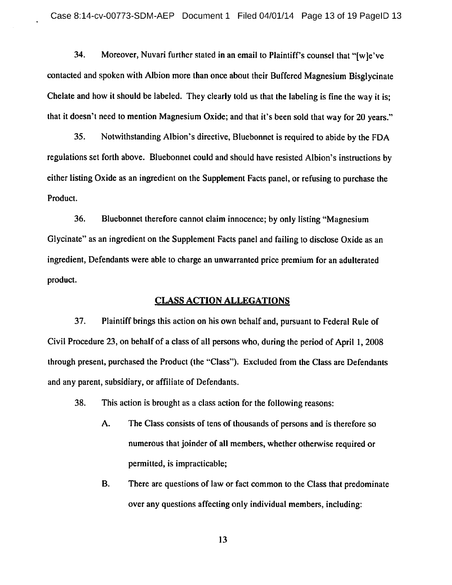34. Moreover, Nuvari further stated in an email to Plaintiff's counsel that "[w]e've contacted and spoken with Albion more than once about their Buffered Magnesium Bisglycinate Chelate and how it should be labeled. They clearly told us that the labeling is fine the way it is; that it doesn't need to mention Magnesium Oxide; and that it's been sold that way for <sup>20</sup> years."

35. Notwithstanding Albion's directive, Bluebonnet is required to abide by the FDA regulations set forth above. Bluebonnet could and should have resisted Albion's instructions by either listing Oxide as an ingredient on the Supplement Facts panel, or refusing to purchase the Product.

36. Bluebonnet therefore cannot claim innocence; by only listing "Magnesium Glycinate" as an ingredient on the Supplement Facts panel and failing to disclose Oxide as an ingredient, Defendants were able to charge an unwarranted price premium for an adulterated product.

#### CLASS ACTION ALLEGATIONS

37. Plaintiff brings this action on his own behalf and, pursuant to Federal Rule of Civil Procedure 23, on behalf of <sup>a</sup> class of all persons who, during the period of April 1, <sup>2008</sup> through present, purchased the Product (the "Class"). Excluded from the Class are Defendants and any parent, subsidiary, or affiliate of Defendants.

38. This action is brought as <sup>a</sup> class action for the following reasons:

- A. The Class consists of tens of thousands of persons and is therefore so numerous that joinder of all members, whether otherwise required or permitted, is impracticable;
- B. There are questions of law or fact common to the Class that predominate over any questions affecting only individual members, including: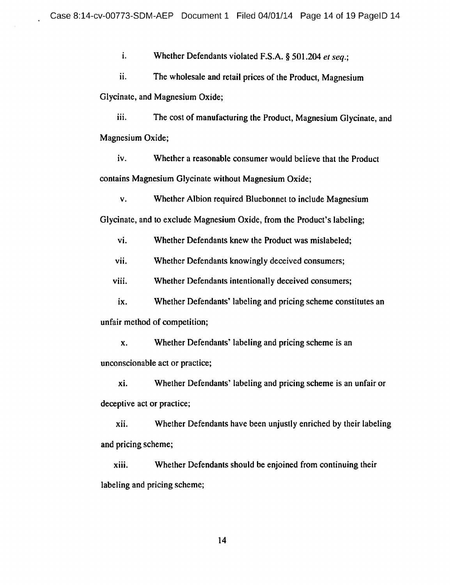i. Whether Defendants violated F.S.A.  $\S$  501.204 et seq.;

ii. The wholesale and retail prices of the Product, Magnesium Glycinate, and Magnesium Oxide;

iii. The cost of manufacturing the Product, Magnesium Glycinate, and Magnesium Oxide;

iv. Whether <sup>a</sup> reasonable consumer would believe that the Product contains Magnesium Glycinate without Magnesium Oxide;

v. Whether Albion required Bluebonnet to include Magnesium Glycinate, and to exclude Magnesium Oxide, from the Product's labeling;

vi. Whether Defendants knew the Product was mislabeled;

vii. Whether Defendants knowingly deceived consumers;

viii. Whether Defendants intentionally deceived consumers;

ix. Whether Defendants' labeling and pricing scheme constitutes an unfair method of competition;

x. Whether Defendants' labeling and pricing scheme is an unconscionable act or practice;

xi. Whether Defendants' labeling and pricing scheme is an unfair or deceptive act or practice;

xii. Whether Defendants have been unjustly enriched by their labeling and pricing scheme;

xiii. Whether Defendants should be enjoined from continuing their labeling and pricing scheme;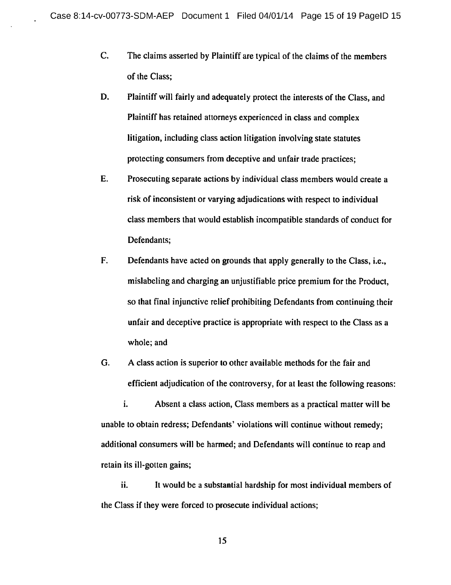- C. The claims asserted by Plaintiff are typical of the claims of the members of the Class;
- D. Plaintiff will fairly and adequately protect the interests of the Class, and Plaintiff has retained attorneys experienced in class and complex litigation, including class action litigation involving state statutes protecting consumers from deceptive and unfair trade practices;
- E. Prosecuting separate actions by individual class members would create <sup>a</sup> risk of inconsistent or varying adjudications with respect to individual class members that would establish incompatible standards of conduct for Defendants;
- F. Defendants have acted on grounds that apply generally to the Class, i.e., mislabeling and charging an unjustifiable price premium for the Product, so that final injunctive relief prohibiting Defendants from continuing their unfair and deceptive practice is appropriate with respect to the Class as <sup>a</sup> whole; and
- G. A class action is superior to other available methods for the fair and efficient adjudication of the controversy, for at least the following reasons:

i. Absent <sup>a</sup> class action, Class members as <sup>a</sup> practical matter will be unable to obtain redress; Defendants' violations will continue without remedy; additional consumers will be harmed; and Defendants will continue to reap and retain its ill-gotten gains;

ii. It would be <sup>a</sup> substantial hardship for most individual members of the Class if they were forced to prosecute individual actions;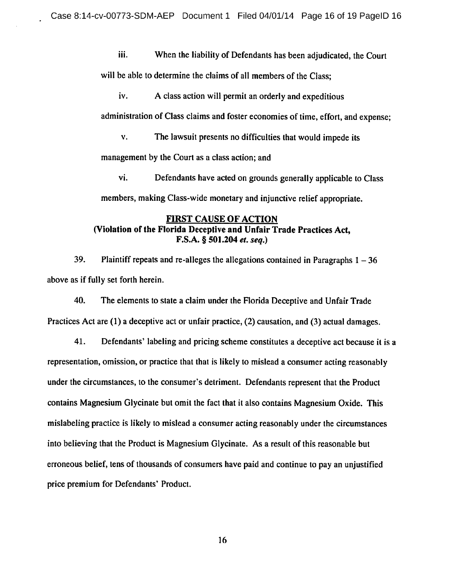iii. When the liability of Defendants has been adjudicated, the Court

will be able to determine the claims of all members of the Class;

iv. A class action will permit an orderly and expeditious

administration of Class claims and foster economies of time, effort, and expense;

v. The lawsuit presents no difficulties that would impede its

management by the Court as <sup>a</sup> class action; and

vi. Defendants have acted on grounds generally applicable to Class members, making Class-wide monetary and injunctive relief appropriate.

# FIRST CAUSE OF ACTION (Violation of the Florida Deceptive and Unfair Trade Practices Act,  $F.S.A. \S 501.204$  et. seq.)

39. Plaintiff repeats and re-alleges the allegations contained in Paragraphs  $1 - 36$ above as if fully set forth herein.

40. The elements to state <sup>a</sup> claim under the Florida Deceptive and Unfair Trade Practices Act are (1) <sup>a</sup> deceptive act or unfair practice, (2) causation, and (3) actual damages.

41. Defendants' labeling and pricing scheme constitutes <sup>a</sup> deceptive act because it is <sup>a</sup> representation, omission, or practice that that is likely to mislead <sup>a</sup> consumer acting reasonably under the circumstances, to the consumer's detriment. Defendants represent that the Product contains Magnesium Glycinate but omit the fact that it also contains Magnesium Oxide. This mislabeling practice is likely to mislead <sup>a</sup> consumer acting reasonably under the circumstances into believing that the Product is Magnesium Glycinate. As <sup>a</sup> result of this reasonable but erroneous belief, tens of thousands of consumers have paid and continue to pay an unjustified price premium for Defendants' Product.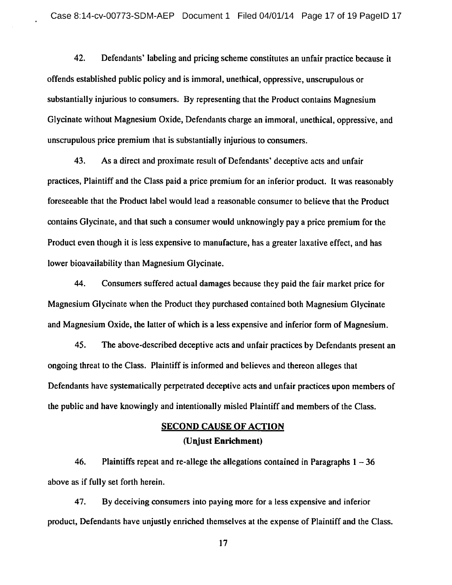42. Defendants' labeling and pricing scheme constitutes an unfair practice because it offends established public policy and is immoral, unethical, oppressive, unscrupulous or substantially injurious to consumers. By representing that the Product contains Magnesium Glycinate without Magnesium Oxide, Defendants charge an immoral, unethical, oppressive, and unscrupulous price premium that is substantially injurious to consumers.

43. As <sup>a</sup> direct and proximate result of Defendants' deceptive acts and unfair practices, Plaintiff and the Class paid <sup>a</sup> price premium for an inferior product. It was reasonably foreseeable that the Product label would lead <sup>a</sup> reasonable consumer to believe that the Product contains Glycinate, and that such <sup>a</sup> consumer would unknowingly pay <sup>a</sup> price premium for the Product even though it is less expensive to manufacture, has <sup>a</sup> greater laxative effect, and has lower bioavailability than Magnesium Glycinate.

44. Consumers suffered actual damages because they paid the fair market price for Magnesium Glycinate when the Product they purchased contained both Magnesium Glycinate and Magnesium Oxide, the latter of which is <sup>a</sup> less expensive and inferior form of Magnesium.

45. The above-described deceptive acts and unfair practices by Defendants present an ongoing threat to the Class. Plaintiff is informed and believes and thereon alleges that Defendants have systematically perpetrated deceptive acts and unfair practices upon members of the public and have knowingly and intentionally misled Plaintiff and members of the Class.

# SECOND CAUSE OF ACTION (Unjust Enrichment)

46. Plaintiffs repeat and re-allege the allegations contained in Paragraphs  $1 - 36$ above as if fully set forth herein.

47. By deceiving consumers into paying more for <sup>a</sup> less expensive and inferior product, Defendants have unjustly enriched themselves at the expense of Plaintiff and the Class.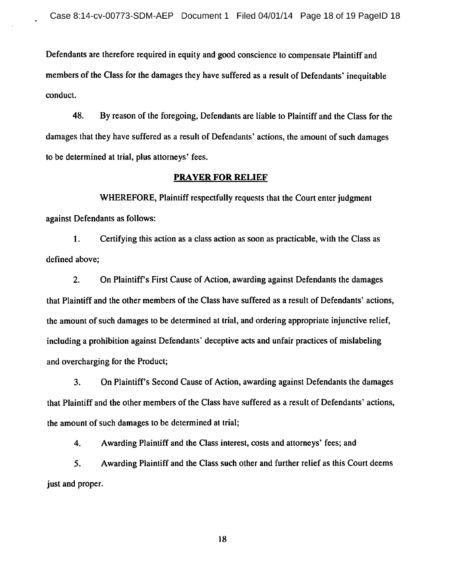Defendants are therefore required in equity and good conscience to compensate Plaintiff and members of the Class for the damages they have suffered as <sup>a</sup> result of Defendants' inequitable conduct.

48. By reason of the foregoing, Defendants are liable to Plaintiff and the Class for the damages that they have suffered as <sup>a</sup> result of Defendants' actions, the amount of such damages to be determined at trial, plus attorneys' fees.

### PRAYER FOR RELIEF

WHEREFORE, Plaintiff respectfully requests that the Court enter judgment against Defendants as follows:

1. Certifying this action as <sup>a</sup> class action as soon as practicable, with the Class as defined above;

2. On Plaintiff's First Cause of Action, awarding against Defendants the damages that Plaintiff and the other members of the Class have suffered as <sup>a</sup> result of Defendants' actions, the amount of such damages to be determined at trial, and ordering appropriate injunctive relief, including a prohibition against Defendants' deceptive acts and unfair practices of mislabeling and overcharging for the Product;

3. On Plaintiff's Second Cause of Action, awarding against Defendants the damages that Plaintiff and the other members of the Class have suffered as <sup>a</sup> result of Defendants' actions, the amount of such damages to be determined at trial;

4. Awarding Plaintiff and the Class interest, costs and attorneys' fees; and

5. Awarding Plaintiff and the Class such other and further relief as this Court deems just and proper.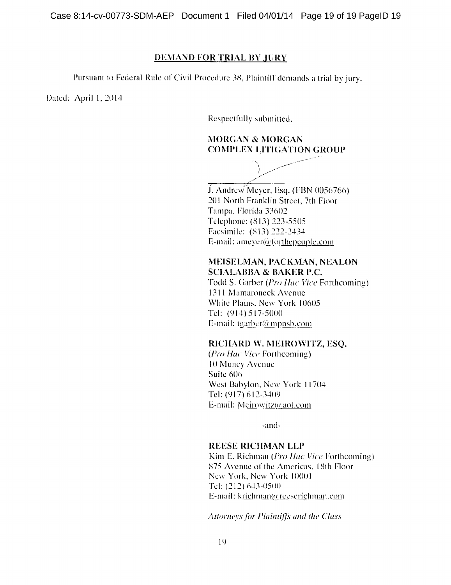Case 8:14-cv-00773-SDM-AEP Document 1 Filed 04/01/14 Page 19 of 19 PagelD 19

#### DEMAND FOR TRIAL BY JURY

Pursuant to Federal Rule of Civil Procedure 38, Plaintiff demands a trial by jury.

Dated: April 1, 2014

Respectfully submitted,

## MORGAN & MORGAN COMPLEX LITIGATION GROUP

J. Andrew Meyer, Esq. (FBN 0056766) 201 North Franklin Street, 7th Floor Tampa. Florida 33602 Telephone: (813) 223-5505 Facsimile: (813) 222-2434

E-mail:  $ameyer(\hat{\omega})$  for the people.com

### MEISELMAN, PACKMAN, NEALON SCIALABBA & BAKER P.C.

Todd S. Garber (Pro Ilac Vice Forthcoming) 1311 Mamaroneck Avenue White Plains, New York 10605 Tel: (914) 517-5000 E-mail: tgarber@ mpnsb.com

### RICHARD W. MEIROWITZ, ESQ.

(Pro Hac Vice Forthcoming) <sup>10</sup> Muncy Avenue Suite 606 West Babylon, New York 11704 Tel: (917) 612-3409 E-mail: Meirowitz@aol.com

-and-

### REESE RICHMAN LLP

Kim E. Richman (Pro Ilac Vice Forthcoming) 875 Avenue of the Americas. 18th Floor New York. New York <sup>10001</sup> Tel: (212) 643-0500 E-mail: krichman@reeserichman.com

Attorneys for Plaintiffs and the Class